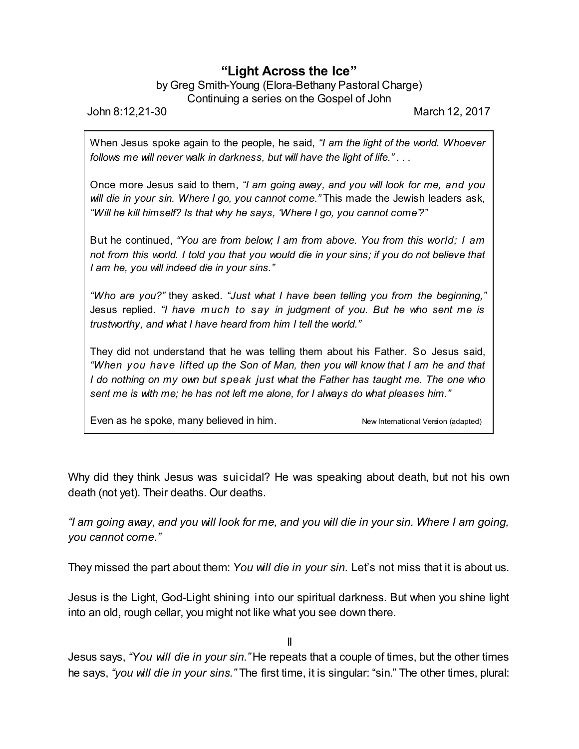## **"Light Across the Ice"**

## by Greg Smith-Young (Elora-Bethany Pastoral Charge) Continuing a series on the Gospel of John

John 8:12,21-30 March 12, 2017

When Jesus spoke again to the people, he said, *"I am the light of the world. Whoever follows me will never walk in darkness, but will have the light of life."* . . .

Once more Jesus said to them, *"I am going away, and you will look for me, and you will die in your sin. Where I go, you cannot come."* This made the Jewish leaders ask, *"Will he kill himself? Is that why he says, 'Where I go, you cannot come'?"*

But he continued, *"You are from below; I am from above. You from this world; I am not from this world. I told you that you would die in your sins; if you do not believe that I am he, you will indeed die in your sins."*

*"Who are you?"* they asked. *"Just what I have been telling you from the beginning,"* Jesus replied. *"I have much to say in judgment of you. But he who sent me is trustworthy, and what I have heard from him I tell the world."*

They did not understand that he was telling them about his Father. So Jesus said, *"When you have lifted up the Son of Man, then you will know that I am he and that I do nothing on my own but speak just what the Father has taught me. The one who sent me is with me; he has not left me alone, for I always do what pleases him."*

Even as he spoke, many believed in him. New International Version (adapted)

Why did they think Jesus was suicidal? He was speaking about death, but not his own death (not yet). Their deaths. Our deaths.

*"I am going away, and you will look for me, and you will die in your sin. Where I am going, you cannot come."*

They missed the part about them: *You will die in your sin.* Let's not miss that it is about us.

Jesus is the Light, God-Light shining into our spiritual darkness. But when you shine light into an old, rough cellar, you might not like what you see down there.

II

Jesus says, *"You will die in your sin."* He repeats that a couple of times, but the other times he says, *"you will die in your sins."* The first time, it is singular: "sin." The other times, plural: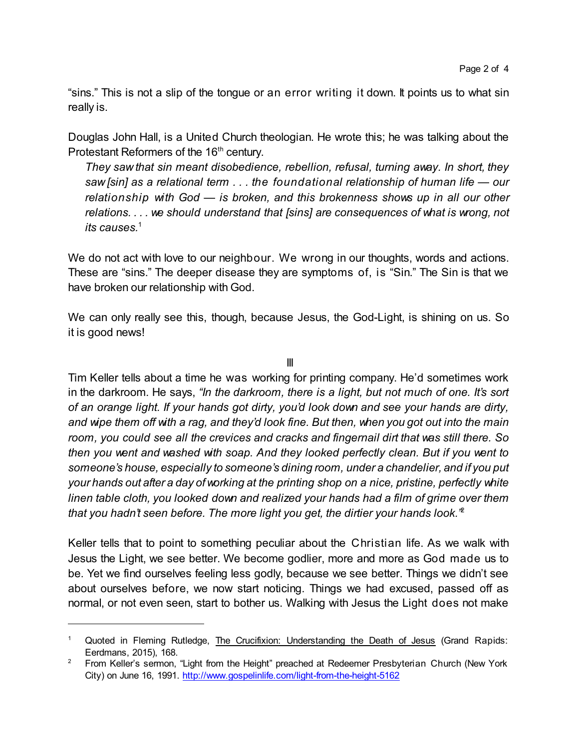"sins." This is not a slip of the tongue or an error writing it down. It points us to what sin really is.

Douglas John Hall, is a United Church theologian. He wrote this; he was talking about the Protestant Reformers of the 16<sup>th</sup> century.

*They saw that sin meant disobedience, rebellion, refusal, turning away. In short, they saw [sin] as a relational term . . . the foundational relationship of human life — our relationship with God — is broken, and this brokenness shows up in all our other relations. . . . we should understand that [sins] are consequences of what is wrong, not its causes.*<sup>1</sup>

We do not act with love to our neighbour. We wrong in our thoughts, words and actions. These are "sins." The deeper disease they are symptoms of, is "Sin." The Sin is that we have broken our relationship with God.

We can only really see this, though, because Jesus, the God-Light, is shining on us. So it is good news!

III

Tim Keller tells about a time he was working for printing company. He'd sometimes work in the darkroom. He says, *"In the darkroom, there is a light, but not much of one. It's sort of an orange light. If your hands got dirty, you'd look down and see your hands are dirty, and wipe them off with a rag, and they'd look fine. But then, when you got out into the main room, you could see all the crevices and cracks and fingernail dirt that was still there. So then you went and washed with soap. And they looked perfectly clean. But if you went to someone's house, especially to someone's dining room, under a chandelier, and if you put your hands out after a day of working at the printing shop on a nice, pristine, perfectly white linen table cloth, you looked down and realized your hands had a film of grime over them that you hadn't seen before. The more light you get, the dirtier your hands look."* 2

Keller tells that to point to something peculiar about the Christian life. As we walk with Jesus the Light, we see better. We become godlier, more and more as God made us to be. Yet we find ourselves feeling less godly, because we see better. Things we didn't see about ourselves before, we now start noticing. Things we had excused, passed off as normal, or not even seen, start to bother us. Walking with Jesus the Light does not make

Quoted in Fleming Rutledge, The Crucifixion: Understanding the Death of Jesus (Grand Rapids: Eerdmans, 2015), 168.

<sup>&</sup>lt;sup>2</sup> From Keller's sermon, "Light from the Height" preached at Redeemer Presbyterian Church (New York City) on June 16, 1991. <http://www.gospelinlife.com/light-from-the-height-5162>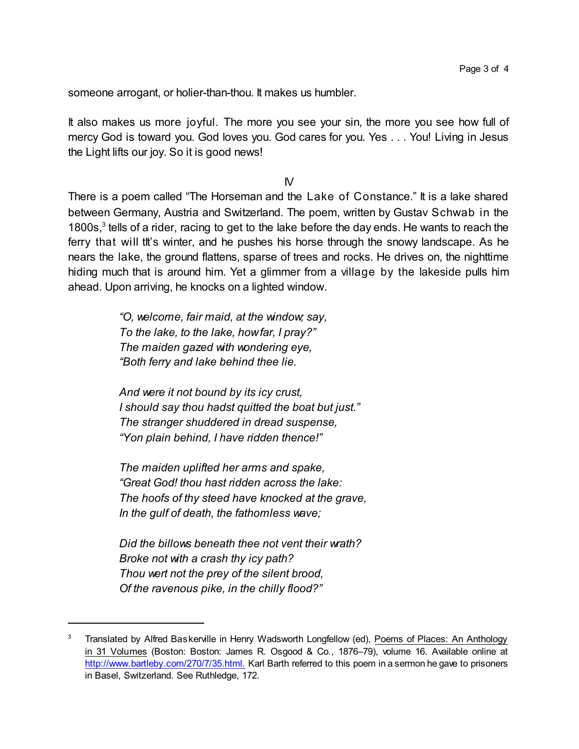someone arrogant, or holier-than-thou. It makes us humbler.

It also makes us more joyful. The more you see your sin, the more you see how full of mercy God is toward you. God loves you. God cares for you. Yes . . . You! Living in Jesus the Light lifts our joy. So it is good news!

 $\mathsf{N}$ 

There is a poem called "The Horseman and the Lake of Constance." It is a lake shared between Germany, Austria and Switzerland. The poem, written by Gustav Schwab in the 1800s,<sup>3</sup> tells of a rider, racing to get to the lake before the day ends. He wants to reach the ferry that will tit's winter, and he pushes his horse through the snowy landscape. As he nears the lake, the ground flattens, sparse of trees and rocks. He drives on, the nighttime hiding much that is around him. Yet a glimmer from a village by the lakeside pulls him ahead. Upon arriving, he knocks on a lighted window.

> *"O, welcome, fair maid, at the window; say, To the lake, to the lake, howfar, I pray?" The maiden gazed with wondering eye, "Both ferry and lake behind thee lie.*

*And were it not bound by its icy crust, I should say thou hadst quitted the boat but just." The stranger shuddered in dread suspense, "Yon plain behind, I have ridden thence!"*

*The maiden uplifted her arms and spake, "Great God! thou hast ridden across the lake: The hoofs of thy steed have knocked at the grave, In the gulf of death, the fathomless wave;*

*Did the billows beneath thee not vent their wrath? Broke not with a crash thy icy path? Thou wert not the prey of the silent brood, Of the ravenous pike, in the chilly flood?"*

Translated by Alfred Baskerville in Henry Wadsworth Longfellow (ed), Poems of Places: An Anthology in 31 Volumes (Boston: Boston: James R. Osgood & Co., 1876–79), volume 16. Available online at <http://www.bartleby.com/270/7/35.html.> Karl Barth referred to this poem in a sermon he gave to prisoners in Basel, Switzerland. See Ruthledge, 172.